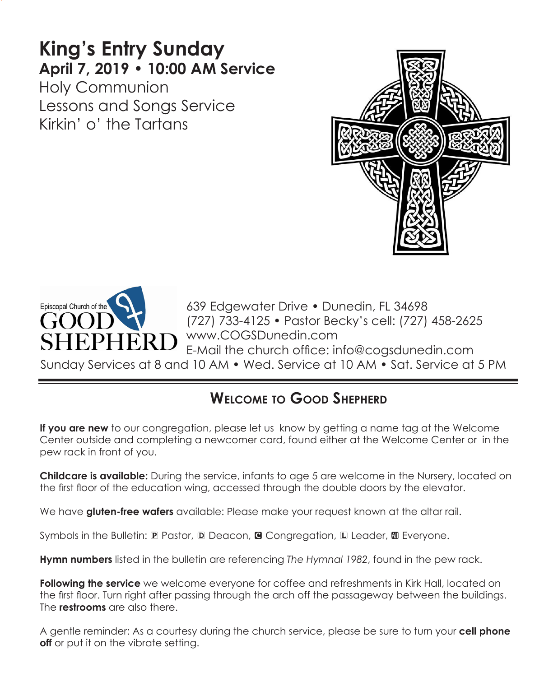# **King's Entry Sunday April 7, 2019 • 10:00 AM Service**

Holy Communion Lessons and Songs Service Kirkin' o' the Tartans





639 Edgewater Drive • Dunedin, FL 34698 (727) 733-4125 • Pastor Becky's cell: (727) 458-2625 ERD WWW.COGSDunedin.com E-Mail the church office: info@cogsdunedin.com

Sunday Services at 8 and 10 AM • Wed. Service at 10 AM • Sat. Service at 5 PM

# **Welcome to Good Shepherd**

**If you are new** to our congregation, please let us know by getting a name tag at the Welcome Center outside and completing a newcomer card, found either at the Welcome Center or in the pew rack in front of you.

**Childcare is available:** During the service, infants to age 5 are welcome in the Nursery, located on the first floor of the education wing, accessed through the double doors by the elevator.

We have **gluten-free wafers** available: Please make your request known at the altar rail.

Symbols in the Bulletin:  $\mathbb D$  Pastor,  $\mathbb D$  Deacon,  $\mathbb Q$  Congregation,  $\mathbb D$  Leader,  $\mathbb D$  Everyone.

**Hymn numbers** listed in the bulletin are referencing *The Hymnal 1982*, found in the pew rack.

**Following the service** we welcome everyone for coffee and refreshments in Kirk Hall, located on the first floor. Turn right after passing through the arch off the passageway between the buildings. The **restrooms** are also there.

A gentle reminder: As a courtesy during the church service, please be sure to turn your **cell phone off** or put it on the vibrate setting.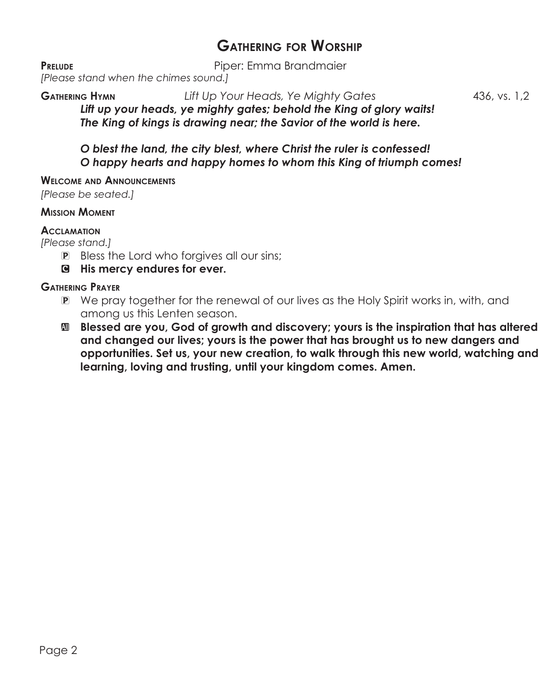# **Gathering for Worship**

**PRELUDE** PIPER: Emma Brandmaier

*[Please stand when the chimes sound.]*

**Gathering Hymn** *Lift Up Your Heads, Ye Mighty Gates* 436, vs. 1,2 *Lift up your heads, ye mighty gates; behold the King of glory waits! The King of kings is drawing near; the Savior of the world is here.*

*O blest the land, the city blest, where Christ the ruler is confessed! O happy hearts and happy homes to whom this King of triumph comes!*

**Welcome and Announcements**

*[Please be seated.]*

### **Mission Moment**

### **Acclamation**

*[Please stand.]*

- P Bless the Lord who forgives all our sins;
- C **His mercy endures for ever.**

## **Gathering Prayer**

- **P** We pray together for the renewal of our lives as the Holy Spirit works in, with, and among us this Lenten season.
- a **Blessed are you, God of growth and discovery; yours is the inspiration that has altered and changed our lives; yours is the power that has brought us to new dangers and opportunities. Set us, your new creation, to walk through this new world, watching and learning, loving and trusting, until your kingdom comes. Amen.**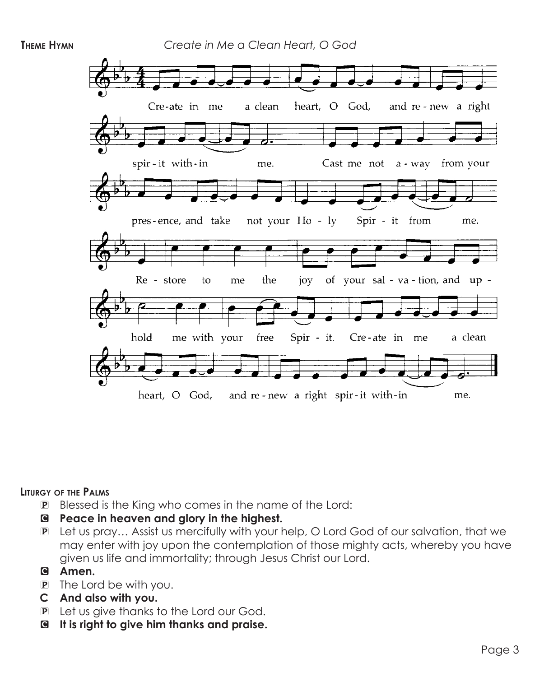

#### **Liturgy of the Palms**

- P Blessed is the King who comes in the name of the Lord:
- C **Peace in heaven and glory in the highest.**
- P Let us pray… Assist us mercifully with your help, O Lord God of our salvation, that we may enter with joy upon the contemplation of those mighty acts, whereby you have given us life and immortality; through Jesus Christ our Lord.

### C **Amen.**

- P The Lord be with you.
- **C And also with you.**
- P Let us give thanks to the Lord our God.
- C **It is right to give him thanks and praise.**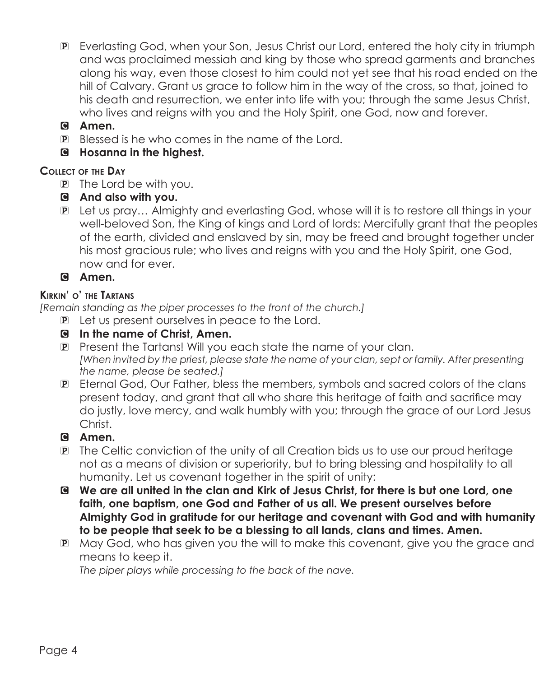- P Everlasting God, when your Son, Jesus Christ our Lord, entered the holy city in triumph and was proclaimed messiah and king by those who spread garments and branches along his way, even those closest to him could not yet see that his road ended on the hill of Calvary. Grant us grace to follow him in the way of the cross, so that, joined to his death and resurrection, we enter into life with you; through the same Jesus Christ, who lives and reigns with you and the Holy Spirit, one God, now and forever.
- C **Amen.**
- P Blessed is he who comes in the name of the Lord.
- C **Hosanna in the highest.**

# **Collect of the Day**

- P The Lord be with you.
- C **And also with you.**
- P Let us pray… Almighty and everlasting God, whose will it is to restore all things in your well-beloved Son, the King of kings and Lord of lords: Mercifully grant that the peoples of the earth, divided and enslaved by sin, may be freed and brought together under his most gracious rule; who lives and reigns with you and the Holy Spirit, one God, now and for ever.

C **Amen.**

## **Kirkin' o' the Tartans**

*[Remain standing as the piper processes to the front of the church.]*

- P Let us present ourselves in peace to the Lord.
- C **In the name of Christ, Amen.**
- P Present the Tartans! Will you each state the name of your clan.  *[When invited by the priest, please state the name of your clan, sept or family. After presenting the name, please be seated.]*
- P Eternal God, Our Father, bless the members, symbols and sacred colors of the clans present today, and grant that all who share this heritage of faith and sacrifice may do justly, love mercy, and walk humbly with you; through the grace of our Lord Jesus Christ.

# C **Amen.**

- P The Celtic conviction of the unity of all Creation bids us to use our proud heritage not as a means of division or superiority, but to bring blessing and hospitality to all humanity. Let us covenant together in the spirit of unity:
- C **We are all united in the clan and Kirk of Jesus Christ, for there is but one Lord, one faith, one baptism, one God and Father of us all. We present ourselves before Almighty God in gratitude for our heritage and covenant with God and with humanity to be people that seek to be a blessing to all lands, clans and times. Amen.**
- P May God, who has given you the will to make this covenant, give you the grace and means to keep it.

 *The piper plays while processing to the back of the nave.*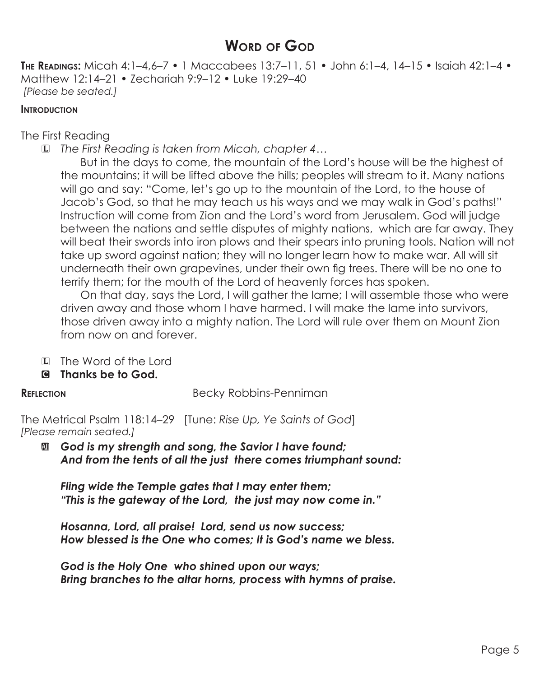# **WORD OF GOD**

**The Readings:** Micah 4:1–4,6–7 • 1 Maccabees 13:7–11, 51 • John 6:1–4, 14–15 • Isaiah 42:1–4 • Matthew 12:14–21 • Zechariah 9:9–12 • Luke 19:29–40 *[Please be seated.]*

### **INTRODUCTION**

The First Reading

L *The First Reading is taken from Micah, chapter 4…*

 But in the days to come, the mountain of the Lord's house will be the highest of the mountains; it will be lifted above the hills; peoples will stream to it. Many nations will go and say: "Come, let's go up to the mountain of the Lord, to the house of Jacob's God, so that he may teach us his ways and we may walk in God's paths!" Instruction will come from Zion and the Lord's word from Jerusalem. God will judge between the nations and settle disputes of mighty nations, which are far away. They will beat their swords into iron plows and their spears into pruning tools. Nation will not take up sword against nation; they will no longer learn how to make war. All will sit underneath their own grapevines, under their own fig trees. There will be no one to terrify them; for the mouth of the Lord of heavenly forces has spoken.

 On that day, says the Lord, I will gather the lame; I will assemble those who were driven away and those whom I have harmed. I will make the lame into survivors, those driven away into a mighty nation. The Lord will rule over them on Mount Zion from now on and forever.

- L The Word of the Lord
- C **Thanks be to God.**

**REFLECTION** Becky Robbins-Penniman

The Metrical Psalm 118:14–29 [Tune: *Rise Up, Ye Saints of God*] *[Please remain seated.]*

a *God is my strength and song, the Savior I have found; And from the tents of all the just there comes triumphant sound:*

*Fling wide the Temple gates that I may enter them; "This is the gateway of the Lord, the just may now come in."*

*Hosanna, Lord, all praise! Lord, send us now success; How blessed is the One who comes; It is God's name we bless.*

*God is the Holy One who shined upon our ways; Bring branches to the altar horns, process with hymns of praise.*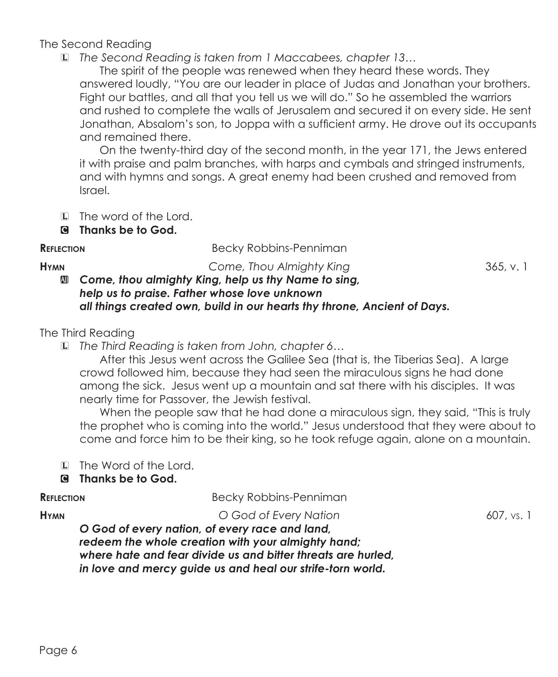# The Second Reading

L *The Second Reading is taken from 1 Maccabees, chapter 13…*

The spirit of the people was renewed when they heard these words. They answered loudly, "You are our leader in place of Judas and Jonathan your brothers. Fight our battles, and all that you tell us we will do." So he assembled the warriors and rushed to complete the walls of Jerusalem and secured it on every side. He sent Jonathan, Absalom's son, to Joppa with a sufficient army. He drove out its occupants and remained there.

 On the twenty-third day of the second month, in the year 171, the Jews entered it with praise and palm branches, with harps and cymbals and stringed instruments, and with hymns and songs. A great enemy had been crushed and removed from Israel.

- L The word of the Lord.
- C **Thanks be to God.**

**REFLECTION** Becky Robbins-Penniman

**Hymn** *Come, Thou Almighty King* 365, v. 1

# a *Come, thou almighty King, help us thy Name to sing, help us to praise. Father whose love unknown all things created own, build in our hearts thy throne, Ancient of Days.*

# The Third Reading

L *The Third Reading is taken from John, chapter 6…*

After this Jesus went across the Galilee Sea (that is, the Tiberias Sea). A large crowd followed him, because they had seen the miraculous signs he had done among the sick. Jesus went up a mountain and sat there with his disciples. It was nearly time for Passover, the Jewish festival.

When the people saw that he had done a miraculous sign, they said, "This is truly the prophet who is coming into the world." Jesus understood that they were about to come and force him to be their king, so he took refuge again, alone on a mountain.

L The Word of the Lord.

# C **Thanks be to God.**

| <b>REFLECTION</b> | Becky Robbins-Penniman |
|-------------------|------------------------|
|                   |                        |

**Hymn** *O God of Every Nation* 607, vs. 1

*O God of every nation, of every race and land, redeem the whole creation with your almighty hand; where hate and fear divide us and bitter threats are hurled, in love and mercy guide us and heal our strife-torn world.*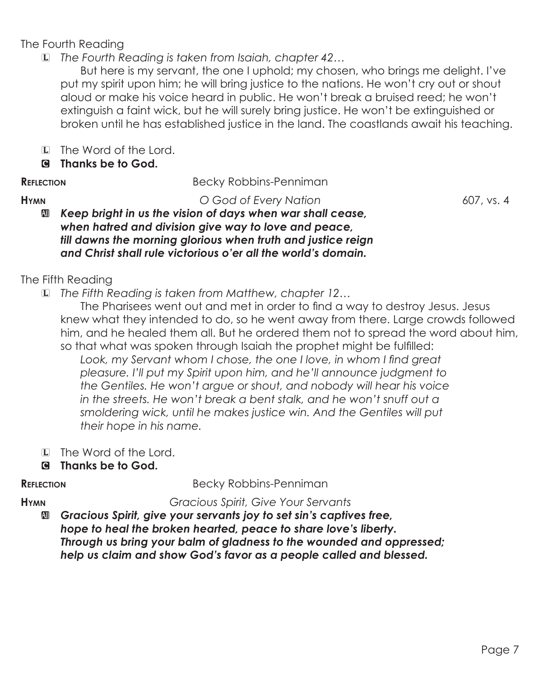# The Fourth Reading

L *The Fourth Reading is taken from Isaiah, chapter 42…*

 But here is my servant, the one I uphold; my chosen, who brings me delight. I've put my spirit upon him; he will bring justice to the nations. He won't cry out or shout aloud or make his voice heard in public. He won't break a bruised reed; he won't extinguish a faint wick, but he will surely bring justice. He won't be extinguished or broken until he has established justice in the land. The coastlands await his teaching.

- L The Word of the Lord.
- C **Thanks be to God.**
- 

# **REFLECTION** Becky Robbins-Penniman

**Hymn** *O God of Every Nation* 607, vs. 4

a *Keep bright in us the vision of days when war shall cease, when hatred and division give way to love and peace, till dawns the morning glorious when truth and justice reign and Christ shall rule victorious o'er all the world's domain.*

# The Fifth Reading

L *The Fifth Reading is taken from Matthew, chapter 12…*

The Pharisees went out and met in order to find a way to destroy Jesus. Jesus knew what they intended to do, so he went away from there. Large crowds followed him, and he healed them all. But he ordered them not to spread the word about him, so that what was spoken through Isaiah the prophet might be fulfilled:

Look, my Servant whom I chose, the one I love, in whom I find great *pleasure. I'll put my Spirit upon him, and he'll announce judgment to the Gentiles. He won't argue or shout, and nobody will hear his voice in the streets. He won't break a bent stalk, and he won't snuff out a smoldering wick, until he makes justice win. And the Gentiles will put their hope in his name.*

- L The Word of the Lord.
- C **Thanks be to God.**

**REFLECTION** Becky Robbins-Penniman

**Hymn** *Gracious Spirit, Give Your Servants*

a *Gracious Spirit, give your servants joy to set sin's captives free, hope to heal the broken hearted, peace to share love's liberty. Through us bring your balm of gladness to the wounded and oppressed; help us claim and show God's favor as a people called and blessed.*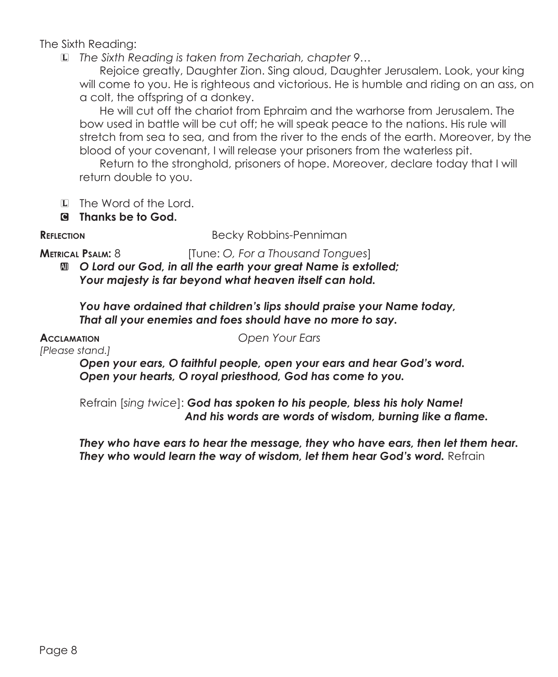The Sixth Reading:

L *The Sixth Reading is taken from Zechariah, chapter 9…*

Rejoice greatly, Daughter Zion. Sing aloud, Daughter Jerusalem. Look, your king will come to you. He is righteous and victorious. He is humble and riding on an ass, on a colt, the offspring of a donkey.

He will cut off the chariot from Ephraim and the warhorse from Jerusalem. The bow used in battle will be cut off; he will speak peace to the nations. His rule will stretch from sea to sea, and from the river to the ends of the earth. Moreover, by the blood of your covenant, I will release your prisoners from the waterless pit.

Return to the stronghold, prisoners of hope. Moreover, declare today that I will return double to you.

- L The Word of the Lord.
- C **Thanks be to God.**

**REFLECTION** Becky Robbins-Penniman

**Metrical Psalm:** 8 [Tune: *O, For a Thousand Tongues*]

 $\Box$  O Lord our God, in all the earth your great Name is extolled; *Your majesty is far beyond what heaven itself can hold.*

*You have ordained that children's lips should praise your Name today, That all your enemies and foes should have no more to say.*

*[Please stand.]*

**Acclamation** *Open Your Ears*

*Open your ears, O faithful people, open your ears and hear God's word. Open your hearts, O royal priesthood, God has come to you.* 

Refrain [*sing twice*]: *God has spoken to his people, bless his holy Name! And his words are words of wisdom, burning like a flame.*

*They who have ears to hear the message, they who have ears, then let them hear.* **They who would learn the way of wisdom, let them hear God's word.** Refrain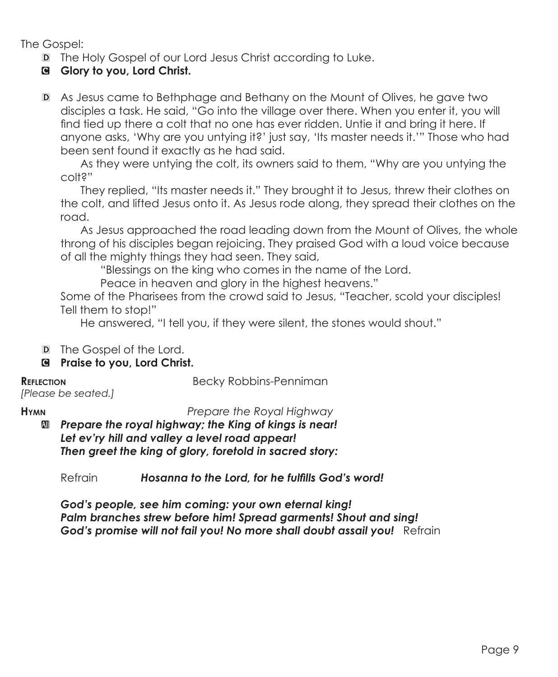The Gospel:

- D The Holy Gospel of our Lord Jesus Christ according to Luke.
- C **Glory to you, Lord Christ.**
- D As Jesus came to Bethphage and Bethany on the Mount of Olives, he gave two disciples a task. He said, "Go into the village over there. When you enter it, you will find tied up there a colt that no one has ever ridden. Untie it and bring it here. If anyone asks, 'Why are you untying it?' just say, 'Its master needs it.'" Those who had been sent found it exactly as he had said.

 As they were untying the colt, its owners said to them, "Why are you untying the colt?"

They replied, "Its master needs it." They brought it to Jesus, threw their clothes on the colt, and lifted Jesus onto it. As Jesus rode along, they spread their clothes on the road.

 As Jesus approached the road leading down from the Mount of Olives, the whole throng of his disciples began rejoicing. They praised God with a loud voice because of all the mighty things they had seen. They said,

"Blessings on the king who comes in the name of the Lord.

Peace in heaven and glory in the highest heavens."

Some of the Pharisees from the crowd said to Jesus, "Teacher, scold your disciples! Tell them to stop!"

He answered, "I tell you, if they were silent, the stones would shout."

- D The Gospel of the Lord.
- C **Praise to you, Lord Christ.**

**REFLECTION** Becky Robbins-Penniman

*[Please be seated.]*

**Hymn** *Prepare the Royal Highway*

a *Prepare the royal highway; the King of kings is near! Let ev'ry hill and valley a level road appear! Then greet the king of glory, foretold in sacred story:*

Refrain *Hosanna to the Lord, for he fulfills God's word!*

*God's people, see him coming: your own eternal king! Palm branches strew before him! Spread garments! Shout and sing! God's promise will not fail you! No more shall doubt assail you!* Refrain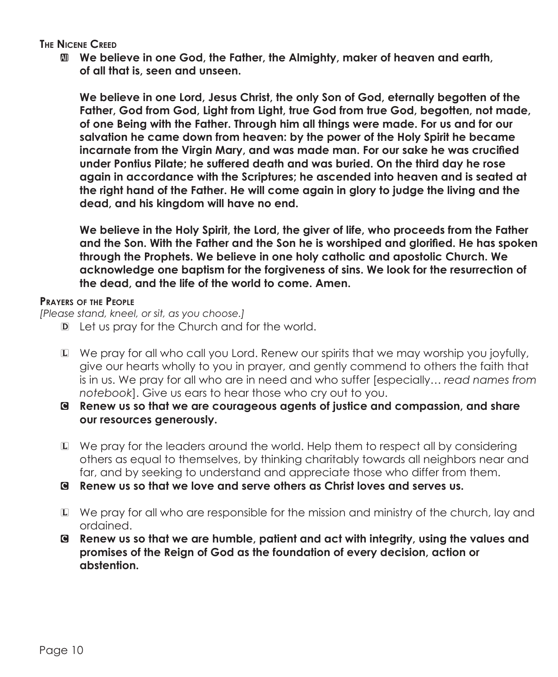**The Nicene Creed**

a **We believe in one God, the Father, the Almighty, maker of heaven and earth, of all that is, seen and unseen.**

 **We believe in one Lord, Jesus Christ, the only Son of God, eternally begotten of the Father, God from God, Light from Light, true God from true God, begotten, not made, of one Being with the Father. Through him all things were made. For us and for our salvation he came down from heaven: by the power of the Holy Spirit he became incarnate from the Virgin Mary, and was made man. For our sake he was crucified under Pontius Pilate; he suffered death and was buried. On the third day he rose again in accordance with the Scriptures; he ascended into heaven and is seated at the right hand of the Father. He will come again in glory to judge the living and the dead, and his kingdom will have no end.**

 **We believe in the Holy Spirit, the Lord, the giver of life, who proceeds from the Father and the Son. With the Father and the Son he is worshiped and glorified. He has spoken through the Prophets. We believe in one holy catholic and apostolic Church. We acknowledge one baptism for the forgiveness of sins. We look for the resurrection of the dead, and the life of the world to come. Amen.**

### **Prayers of the People**

*[Please stand, kneel, or sit, as you choose.]*

- D Let us pray for the Church and for the world.
- L We pray for all who call you Lord. Renew our spirits that we may worship you joyfully, give our hearts wholly to you in prayer, and gently commend to others the faith that is in us. We pray for all who are in need and who suffer [especially… *read names from notebook*]. Give us ears to hear those who cry out to you.
- C **Renew us so that we are courageous agents of justice and compassion, and share our resources generously.**
- L We pray for the leaders around the world. Help them to respect all by considering others as equal to themselves, by thinking charitably towards all neighbors near and far, and by seeking to understand and appreciate those who differ from them.
- C **Renew us so that we love and serve others as Christ loves and serves us.**
- L We pray for all who are responsible for the mission and ministry of the church, lay and ordained.
- C **Renew us so that we are humble, patient and act with integrity, using the values and promises of the Reign of God as the foundation of every decision, action or abstention.**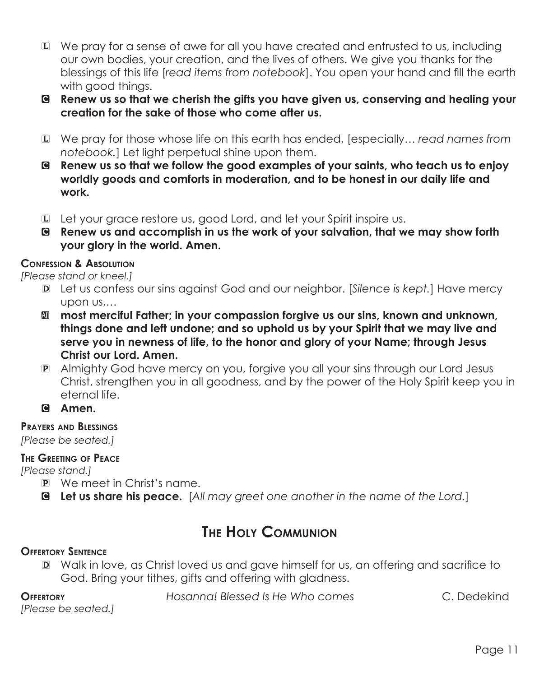- L We pray for a sense of awe for all you have created and entrusted to us, including our own bodies, your creation, and the lives of others. We give you thanks for the blessings of this life [*read items from notebook*]. You open your hand and fill the earth with good things.
- C **Renew us so that we cherish the gifts you have given us, conserving and healing your creation for the sake of those who come after us.**
- L We pray for those whose life on this earth has ended, [especially… *read names from notebook.*] Let light perpetual shine upon them.
- C **Renew us so that we follow the good examples of your saints, who teach us to enjoy worldly goods and comforts in moderation, and to be honest in our daily life and work.**
- L Let your grace restore us, good Lord, and let your Spirit inspire us.
- C **Renew us and accomplish in us the work of your salvation, that we may show forth your glory in the world. Amen.**

# **Confession & Absolution**

*[Please stand or kneel.]*

- D Let us confess our sins against God and our neighbor. [*Silence is kept.*] Have mercy upon us,…
- **M** most merciful Father; in your compassion forgive us our sins, known and unknown, **things done and left undone; and so uphold us by your Spirit that we may live and serve you in newness of life, to the honor and glory of your Name; through Jesus Christ our Lord. Amen.**
- P Almighty God have mercy on you, forgive you all your sins through our Lord Jesus Christ, strengthen you in all goodness, and by the power of the Holy Spirit keep you in eternal life.
- C **Amen.**

## **Prayers and Blessings**

*[Please be seated.]*

# **The Greeting of Peace**

*[Please stand.]*

- P We meet in Christ's name.
- C **Let us share his peace.** [*All may greet one another in the name of the Lord.*]

# **The Holy Communion**

# **Offertory Sentence**

D Walk in love, as Christ loved us and gave himself for us, an offering and sacrifice to God. Bring your tithes, gifts and offering with gladness.

**Offertory** *Hosanna! Blessed Is He Who comes* C. Dedekind

*[Please be seated.]*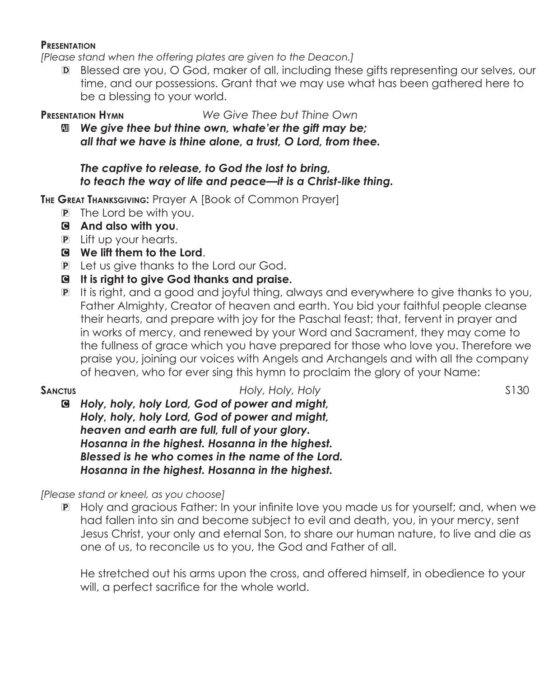#### **Presentation**

*[Please stand when the offering plates are given to the Deacon.]*

D Blessed are you, O God, maker of all, including these gifts representing our selves, our time, and our possessions. Grant that we may use what has been gathered here to be a blessing to your world.

**Presentation Hymn** *We Give Thee but Thine Own*

a *We give thee but thine own, whate'er the gift may be; all that we have is thine alone, a trust, O Lord, from thee.*

### *The captive to release, to God the lost to bring, to teach the way of life and peace—it is a Christ-like thing.*

**The Great Thanksgiving:** Prayer A [Book of Common Prayer]

- P The Lord be with you.
- C **And also with you**.
- P Lift up your hearts.
- C **We lift them to the Lord**.
- P Let us give thanks to the Lord our God.
- C **It is right to give God thanks and praise.**
- P It is right, and a good and joyful thing, always and everywhere to give thanks to you, Father Almighty, Creator of heaven and earth. You bid your faithful people cleanse their hearts, and prepare with joy for the Paschal feast; that, fervent in prayer and in works of mercy, and renewed by your Word and Sacrament, they may come to the fullness of grace which you have prepared for those who love you. Therefore we praise you, joining our voices with Angels and Archangels and with all the company of heaven, who for ever sing this hymn to proclaim the glory of your Name:

**SANCTUS SANCTUS** *Holy, Holy, Holy, Holy Holy, Holy State <b>S130* C *Holy, holy, holy Lord, God of power and might, Holy, holy, holy Lord, God of power and might, heaven and earth are full, full of your glory. Hosanna in the highest. Hosanna in the highest. Blessed is he who comes in the name of the Lord. Hosanna in the highest. Hosanna in the highest.*

*[Please stand or kneel, as you choose]*

P Holy and gracious Father: In your infinite love you made us for yourself; and, when we had fallen into sin and become subject to evil and death, you, in your mercy, sent Jesus Christ, your only and eternal Son, to share our human nature, to live and die as one of us, to reconcile us to you, the God and Father of all.

 He stretched out his arms upon the cross, and offered himself, in obedience to your will, a perfect sacrifice for the whole world.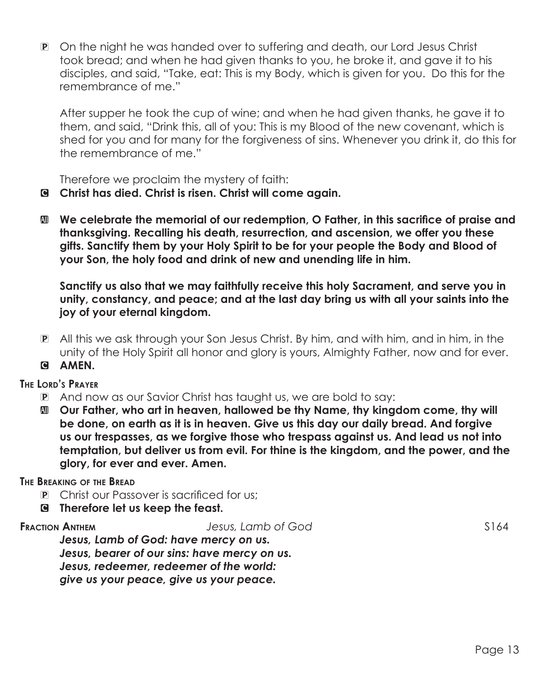P On the night he was handed over to suffering and death, our Lord Jesus Christ took bread; and when he had given thanks to you, he broke it, and gave it to his disciples, and said, "Take, eat: This is my Body, which is given for you. Do this for the remembrance of me."

After supper he took the cup of wine; and when he had given thanks, he gave it to them, and said, "Drink this, all of you: This is my Blood of the new covenant, which is shed for you and for many for the forgiveness of sins. Whenever you drink it, do this for the remembrance of me."

Therefore we proclaim the mystery of faith:

- C **Christ has died. Christ is risen. Christ will come again.**
- a **We celebrate the memorial of our redemption, O Father, in this sacrifice of praise and thanksgiving. Recalling his death, resurrection, and ascension, we offer you these gifts. Sanctify them by your Holy Spirit to be for your people the Body and Blood of your Son, the holy food and drink of new and unending life in him.**

 **Sanctify us also that we may faithfully receive this holy Sacrament, and serve you in unity, constancy, and peace; and at the last day bring us with all your saints into the joy of your eternal kingdom.** 

- P All this we ask through your Son Jesus Christ. By him, and with him, and in him, in the unity of the Holy Spirit all honor and glory is yours, Almighty Father, now and for ever.
- G AMEN.

## **The Lord's Prayer**

- P And now as our Savior Christ has taught us, we are bold to say:
- a **Our Father, who art in heaven, hallowed be thy Name, thy kingdom come, thy will be done, on earth as it is in heaven. Give us this day our daily bread. And forgive us our trespasses, as we forgive those who trespass against us. And lead us not into temptation, but deliver us from evil. For thine is the kingdom, and the power, and the glory, for ever and ever. Amen.**

## **The Breaking of the Bread**

- P Christ our Passover is sacrificed for us;
- C **Therefore let us keep the feast.**

**Fraction Anthem** *Jesus, Lamb of God* S164

*Jesus, Lamb of God: have mercy on us. Jesus, bearer of our sins: have mercy on us. Jesus, redeemer, redeemer of the world: give us your peace, give us your peace.*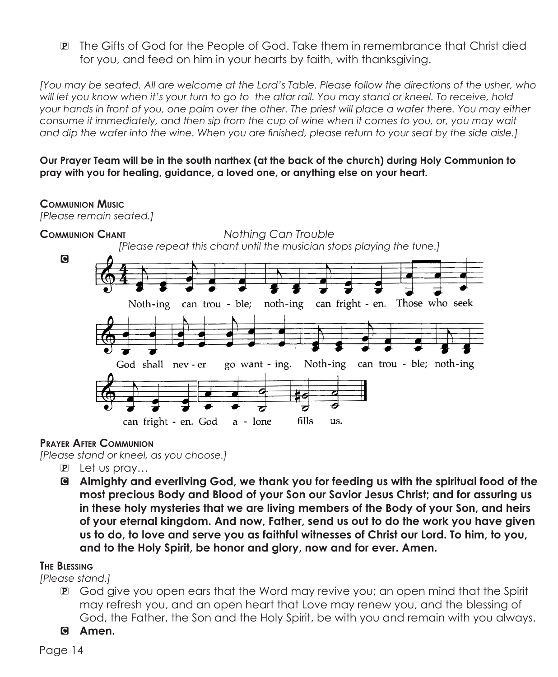P The Gifts of God for the People of God. Take them in remembrance that Christ died for you, and feed on him in your hearts by faith, with thanksgiving.

*[You may be seated. All are welcome at the Lord's Table. Please follow the directions of the usher, who*  will let you know when it's your turn to go to the altar rail. You may stand or kneel. To receive, hold *your hands in front of you, one palm over the other. The priest will place a wafer there. You may either consume it immediately, and then sip from the cup of wine when it comes to you, or, you may wait and dip the wafer into the wine. When you are finished, please return to your seat by the side aisle.]*

**Our Prayer Team will be in the south narthex (at the back of the church) during Holy Communion to pray with you for healing, guidance, a loved one, or anything else on your heart.** 

## **Communion Music**

*[Please remain seated.]*



## **Prayer After Communion**

*[Please stand or kneel, as you choose.]*

- P Let us pray…
- C **Almighty and everliving God, we thank you for feeding us with the spiritual food of the most precious Body and Blood of your Son our Savior Jesus Christ; and for assuring us in these holy mysteries that we are living members of the Body of your Son, and heirs of your eternal kingdom. And now, Father, send us out to do the work you have given us to do, to love and serve you as faithful witnesses of Christ our Lord. To him, to you, and to the Holy Spirit, be honor and glory, now and for ever. Amen.**

## **The Blessing**

*[Please stand.]*

- P God give you open ears that the Word may revive you; an open mind that the Spirit may refresh you, and an open heart that Love may renew you, and the blessing of God, the Father, the Son and the Holy Spirit, be with you and remain with you always.
- C **Amen.**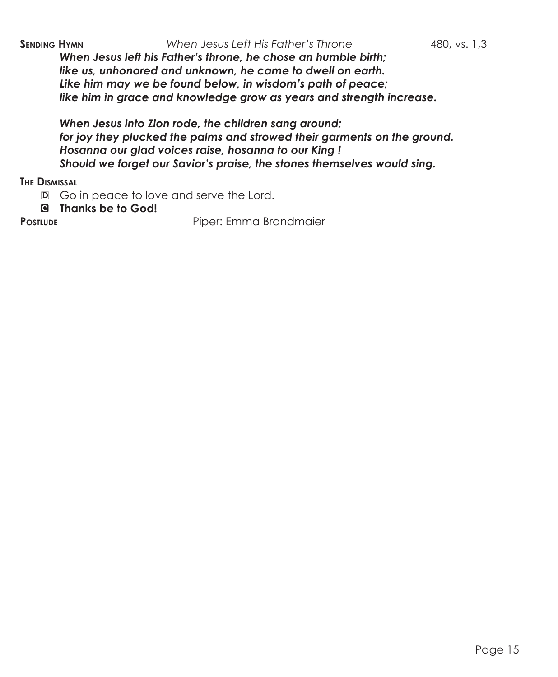*When Jesus left his Father's throne, he chose an humble birth; like us, unhonored and unknown, he came to dwell on earth. Like him may we be found below, in wisdom's path of peace; like him in grace and knowledge grow as years and strength increase.*

*When Jesus into Zion rode, the children sang around; for joy they plucked the palms and strowed their garments on the ground. Hosanna our glad voices raise, hosanna to our King ! Should we forget our Savior's praise, the stones themselves would sing.*

**The Dismissal**

D Go in peace to love and serve the Lord.

C **Thanks be to God!**

**PostLube** Piper: Emma Brandmaier